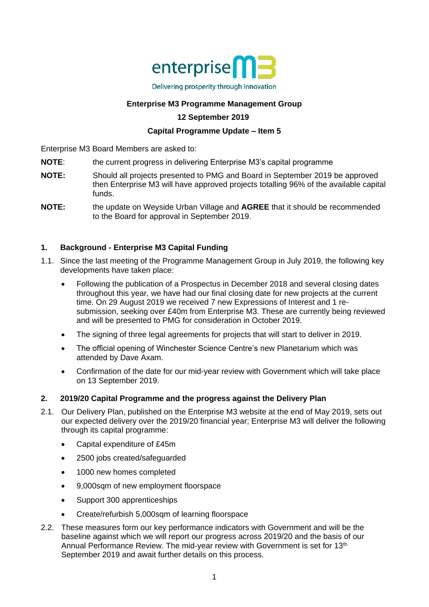

## **Enterprise M3 Programme Management Group**

## **12 September 2019**

## **Capital Programme Update – Item 5**

Enterprise M3 Board Members are asked to:

- **NOTE:** the current progress in delivering Enterprise M3's capital programme
- **NOTE:** Should all projects presented to PMG and Board in September 2019 be approved then Enterprise M3 will have approved projects totalling 96% of the available capital funds.
- **NOTE:** the update on Weyside Urban Village and **AGREE** that it should be recommended to the Board for approval in September 2019.

## **1. Background - Enterprise M3 Capital Funding**

- 1.1. Since the last meeting of the Programme Management Group in July 2019, the following key developments have taken place:
	- Following the publication of a Prospectus in December 2018 and several closing dates throughout this year, we have had our final closing date for new projects at the current time. On 29 August 2019 we received 7 new Expressions of Interest and 1 resubmission, seeking over £40m from Enterprise M3. These are currently being reviewed and will be presented to PMG for consideration in October 2019.
	- The signing of three legal agreements for projects that will start to deliver in 2019.
	- The official opening of Winchester Science Centre's new Planetarium which was attended by Dave Axam.
	- Confirmation of the date for our mid-year review with Government which will take place on 13 September 2019.

## **2. 2019/20 Capital Programme and the progress against the Delivery Plan**

- 2.1. Our Delivery Plan, published on the Enterprise M3 website at the end of May 2019, sets out our expected delivery over the 2019/20 financial year; Enterprise M3 will deliver the following through its capital programme:
	- Capital expenditure of £45m
	- 2500 jobs created/safeguarded
	- 1000 new homes completed
	- 9,000sqm of new employment floorspace
	- Support 300 apprenticeships
	- Create/refurbish 5,000sqm of learning floorspace
- 2.2. These measures form our key performance indicators with Government and will be the baseline against which we will report our progress across 2019/20 and the basis of our Annual Performance Review. The mid-year review with Government is set for 13<sup>th</sup> September 2019 and await further details on this process.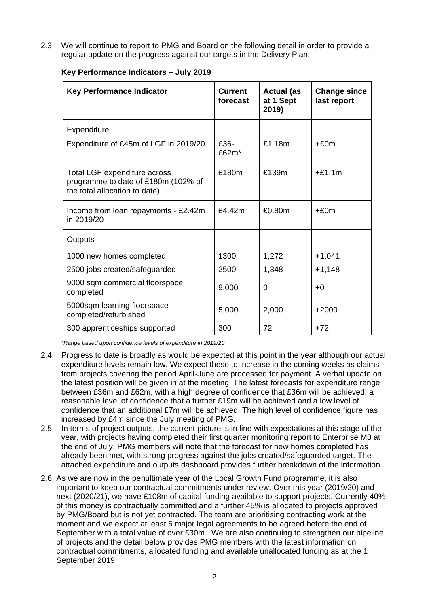2.3. We will continue to report to PMG and Board on the following detail in order to provide a regular update on the progress against our targets in the Delivery Plan:

| <b>Key Performance Indicator</b>                                                                     | <b>Current</b><br>forecast | <b>Actual (as</b><br>at 1 Sept<br>2019) | <b>Change since</b><br>last report |
|------------------------------------------------------------------------------------------------------|----------------------------|-----------------------------------------|------------------------------------|
| Expenditure                                                                                          |                            |                                         |                                    |
| Expenditure of £45m of LGF in 2019/20                                                                | £36-<br>£62 $m^*$          | £1.18m                                  | $+£0m$                             |
| Total LGF expenditure across<br>programme to date of £180m (102% of<br>the total allocation to date) | £180m                      | £139m                                   | $+£1.1m$                           |
| Income from loan repayments - £2.42m<br>in 2019/20                                                   | £4.42m                     | £0.80m                                  | $+£0m$                             |
| Outputs                                                                                              |                            |                                         |                                    |
| 1000 new homes completed                                                                             | 1300                       | 1,272                                   | $+1,041$                           |
| 2500 jobs created/safeguarded                                                                        | 2500                       | 1,348                                   | $+1,148$                           |
| 9000 sqm commercial floorspace<br>completed                                                          | 9,000                      | $\Omega$                                | $+0$                               |
| 5000sqm learning floorspace<br>completed/refurbished                                                 | 5,000                      | 2,000                                   | $+2000$                            |
| 300 apprenticeships supported                                                                        | 300                        | 72                                      | $+72$                              |

### **Key Performance Indicators – July 2019**

*\*Range based upon confidence levels of expenditure in 2019/20*

- 2.4. Progress to date is broadly as would be expected at this point in the year although our actual expenditure levels remain low. We expect these to increase in the coming weeks as claims from projects covering the period April-June are processed for payment. A verbal update on the latest position will be given in at the meeting. The latest forecasts for expenditure range between £36m and £62m, with a high degree of confidence that £36m will be achieved, a reasonable level of confidence that a further £19m will be achieved and a low level of confidence that an additional £7m will be achieved. The high level of confidence figure has increased by £4m since the July meeting of PMG.
- 2.5. In terms of project outputs, the current picture is in line with expectations at this stage of the year, with projects having completed their first quarter monitoring report to Enterprise M3 at the end of July. PMG members will note that the forecast for new homes completed has already been met, with strong progress against the jobs created/safeguarded target. The attached expenditure and outputs dashboard provides further breakdown of the information.
- 2.6. As we are now in the penultimate year of the Local Growth Fund programme, it is also important to keep our contractual commitments under review. Over this year (2019/20) and next (2020/21), we have £108m of capital funding available to support projects. Currently 40% of this money is contractually committed and a further 45% is allocated to projects approved by PMG/Board but is not yet contracted. The team are prioritising contracting work at the moment and we expect at least 6 major legal agreements to be agreed before the end of September with a total value of over £30m. We are also continuing to strengthen our pipeline of projects and the detail below provides PMG members with the latest information on contractual commitments, allocated funding and available unallocated funding as at the 1 September 2019.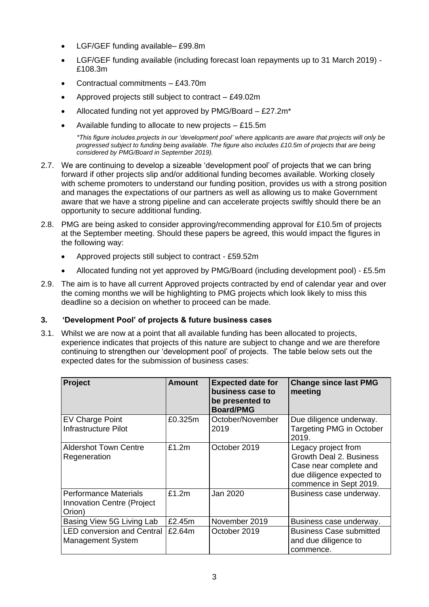- LGF/GEF funding available– £99.8m
- LGF/GEF funding available (including forecast loan repayments up to 31 March 2019) £108.3m
- Contractual commitments £43.70m
- Approved projects still subject to contract £49.02m
- Allocated funding not yet approved by PMG/Board £27.2m\*
- Available funding to allocate to new projects  $-$  £15.5m

*\*This figure includes projects in our 'development pool' where applicants are aware that projects will only be progressed subject to funding being available. The figure also includes £10.5m of projects that are being considered by PMG/Board in September 2019).*

- 2.7. We are continuing to develop a sizeable 'development pool' of projects that we can bring forward if other projects slip and/or additional funding becomes available. Working closely with scheme promoters to understand our funding position, provides us with a strong position and manages the expectations of our partners as well as allowing us to make Government aware that we have a strong pipeline and can accelerate projects swiftly should there be an opportunity to secure additional funding.
- 2.8. PMG are being asked to consider approving/recommending approval for £10.5m of projects at the September meeting. Should these papers be agreed, this would impact the figures in the following way:
	- Approved projects still subject to contract £59.52m
	- Allocated funding not yet approved by PMG/Board (including development pool) £5.5m
- 2.9. The aim is to have all current Approved projects contracted by end of calendar year and over the coming months we will be highlighting to PMG projects which look likely to miss this deadline so a decision on whether to proceed can be made.

## **3. 'Development Pool' of projects & future business cases**

3.1. Whilst we are now at a point that all available funding has been allocated to projects, experience indicates that projects of this nature are subject to change and we are therefore continuing to strengthen our 'development pool' of projects. The table below sets out the expected dates for the submission of business cases:

| Project                                                                     | <b>Amount</b> | <b>Expected date for</b><br>business case to<br>be presented to<br><b>Board/PMG</b> | <b>Change since last PMG</b><br>meeting                                                                                         |
|-----------------------------------------------------------------------------|---------------|-------------------------------------------------------------------------------------|---------------------------------------------------------------------------------------------------------------------------------|
| EV Charge Point<br>Infrastructure Pilot                                     | £0.325m       | October/November<br>2019                                                            | Due diligence underway.<br><b>Targeting PMG in October</b><br>2019.                                                             |
| <b>Aldershot Town Centre</b><br>Regeneration                                | £1.2m         | October 2019                                                                        | Legacy project from<br>Growth Deal 2. Business<br>Case near complete and<br>due diligence expected to<br>commence in Sept 2019. |
| <b>Performance Materials</b><br><b>Innovation Centre (Project</b><br>Orion) | £1.2m         | Jan 2020                                                                            | Business case underway.                                                                                                         |
| Basing View 5G Living Lab                                                   | £2.45m        | November 2019                                                                       | Business case underway.                                                                                                         |
| <b>LED conversion and Central</b><br><b>Management System</b>               | £2.64m        | October 2019                                                                        | <b>Business Case submitted</b><br>and due diligence to<br>commence.                                                             |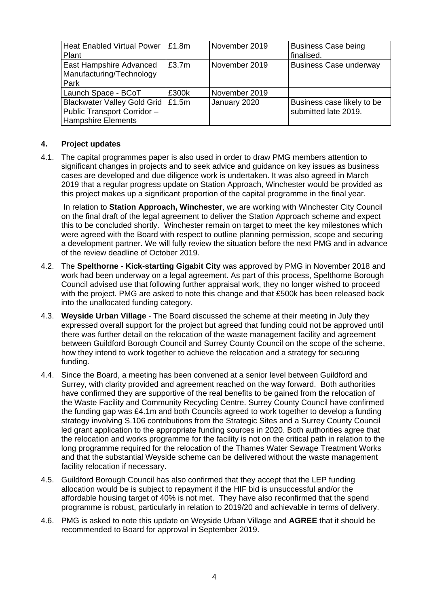| <b>Heat Enabled Virtual Power</b><br>Plant                                                | £1.8m | November 2019 | <b>Business Case being</b><br>finalised.           |
|-------------------------------------------------------------------------------------------|-------|---------------|----------------------------------------------------|
| East Hampshire Advanced<br>Manufacturing/Technology<br>Park                               | £3.7m | November 2019 | <b>Business Case underway</b>                      |
| Launch Space - BCoT                                                                       | £300k | November 2019 |                                                    |
| Blackwater Valley Gold Grid  <br>Public Transport Corridor -<br><b>Hampshire Elements</b> | £1.5m | January 2020  | Business case likely to be<br>submitted late 2019. |

## **4. Project updates**

4.1. The capital programmes paper is also used in order to draw PMG members attention to significant changes in projects and to seek advice and guidance on key issues as business cases are developed and due diligence work is undertaken. It was also agreed in March 2019 that a regular progress update on Station Approach, Winchester would be provided as this project makes up a significant proportion of the capital programme in the final year.

In relation to **Station Approach, Winchester**, we are working with Winchester City Council on the final draft of the legal agreement to deliver the Station Approach scheme and expect this to be concluded shortly. Winchester remain on target to meet the key milestones which were agreed with the Board with respect to outline planning permission, scope and securing a development partner. We will fully review the situation before the next PMG and in advance of the review deadline of October 2019.

- 4.2. The **Spelthorne - Kick-starting Gigabit City** was approved by PMG in November 2018 and work had been underway on a legal agreement. As part of this process, Spelthorne Borough Council advised use that following further appraisal work, they no longer wished to proceed with the project. PMG are asked to note this change and that £500k has been released back into the unallocated funding category.
- 4.3. **Weyside Urban Village**  The Board discussed the scheme at their meeting in July they expressed overall support for the project but agreed that funding could not be approved until there was further detail on the relocation of the waste management facility and agreement between Guildford Borough Council and Surrey County Council on the scope of the scheme, how they intend to work together to achieve the relocation and a strategy for securing funding.
- 4.4. Since the Board, a meeting has been convened at a senior level between Guildford and Surrey, with clarity provided and agreement reached on the way forward. Both authorities have confirmed they are supportive of the real benefits to be gained from the relocation of the Waste Facility and Community Recycling Centre. Surrey County Council have confirmed the funding gap was £4.1m and both Councils agreed to work together to develop a funding strategy involving S.106 contributions from the Strategic Sites and a Surrey County Council led grant application to the appropriate funding sources in 2020. Both authorities agree that the relocation and works programme for the facility is not on the critical path in relation to the long programme required for the relocation of the Thames Water Sewage Treatment Works and that the substantial Weyside scheme can be delivered without the waste management facility relocation if necessary.
- 4.5. Guildford Borough Council has also confirmed that they accept that the LEP funding allocation would be is subject to repayment if the HIF bid is unsuccessful and/or the affordable housing target of 40% is not met. They have also reconfirmed that the spend programme is robust, particularly in relation to 2019/20 and achievable in terms of delivery.
- 4.6. PMG is asked to note this update on Weyside Urban Village and **AGREE** that it should be recommended to Board for approval in September 2019.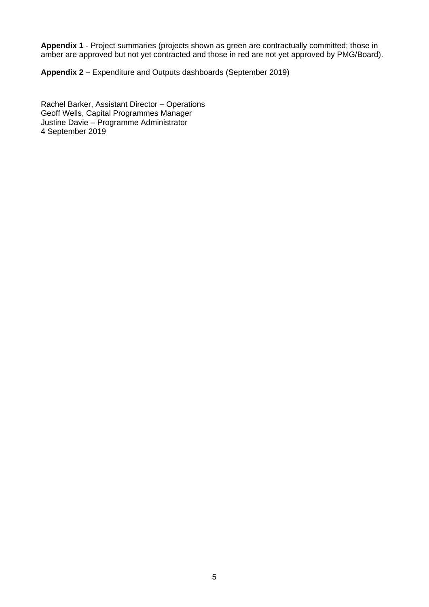**Appendix 1** - Project summaries (projects shown as green are contractually committed; those in amber are approved but not yet contracted and those in red are not yet approved by PMG/Board).

**Appendix 2** – Expenditure and Outputs dashboards (September 2019)

Rachel Barker, Assistant Director – Operations Geoff Wells, Capital Programmes Manager Justine Davie – Programme Administrator 4 September 2019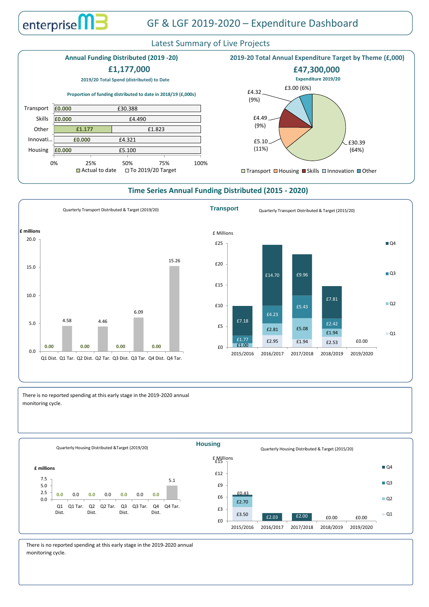There is no reported spending at this early stage in the 2019-2020 annual monitoring cycle.

## Latest Summary of Live Projects

## **Time Series Annual Funding Distributed (2015 - 2020)**



# GF & LGF 2019-2020 – Expenditure Dashboard





### **2019-20 Total Annual Expenditure Target by Theme (£,000)** £30.39 (64%) £5.10 (11%) £4.49 (9%) £4.32 (9%) £3.00 (6%) **□ Transport □ Housing ■ Skills □ Innovation ■ Other 2019/20 Total Spend (distributed) to Date £47,300,000 Expenditure 2019/20 Annual Funding Distributed (2019 -20) £0.000 £0.000 £1.177 £0.000 £0.000** £5.100 £4.321 £1.823 £4.490 £30.388 0% 25% 50% 75% 100% Housing Innovati… **Other** Skills Transport  $\Box$  Actual to date  $\Box$  To 2019/20 Target **Proportion of funding distributed to date in 2018/19 (£,000s) £1,177,000**

There is no reported spending at this early stage in the 2019-2020 annual monitoring cycle.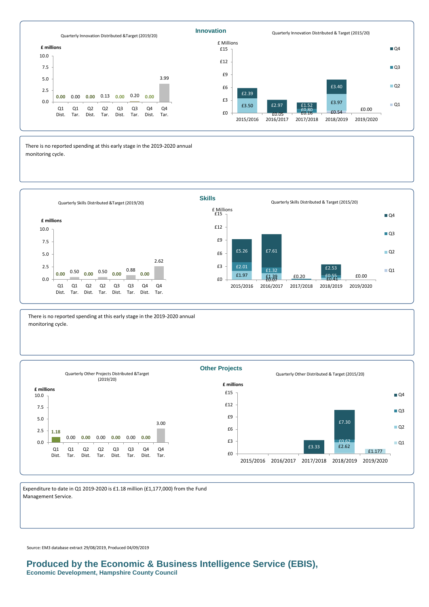Expenditure to date in Q1 2019-2020 is £1.18 million (£1,177,000) from the Fund Management Service.

There is no reported spending at this early stage in the 2019-2020 annual monitoring cycle.

## **Produced by the Economic & Business Intelligence Service (EBIS), Economic Development, Hampshire County Council**



Source: EM3 database extract 29/08/2019, Produced 04/09/2019





2015/2016 2016/2017 2017/2018 2018/2019 2019/2020

There is no reported spending at this early stage in the 2019-2020 annual monitoring cycle.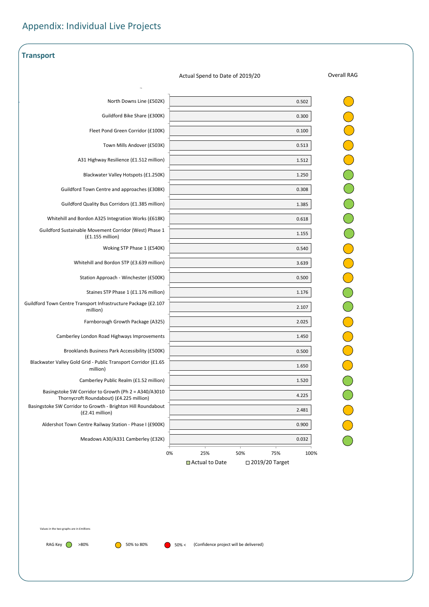| <b>Transport</b>                                                                                 |                                 |                    |
|--------------------------------------------------------------------------------------------------|---------------------------------|--------------------|
|                                                                                                  | Actual Spend to Date of 2019/20 | <b>Overall RAG</b> |
| North Downs Line (£502K)                                                                         | 0.502                           |                    |
| Guildford Bike Share (£300K)                                                                     | 0.300                           |                    |
| Fleet Pond Green Corridor (£100K)                                                                | 0.100                           |                    |
| Town Mills Andover (£503K)                                                                       |                                 |                    |
|                                                                                                  | 0.513                           |                    |
| A31 Highway Resilience (£1.512 million)                                                          | 1.512                           |                    |
| Blackwater Valley Hotspots (£1.250K)                                                             | 1.250                           |                    |
| Guildford Town Centre and approaches (£308K)                                                     | 0.308                           |                    |
| <b>Guildford Quality Bus Corridors (£1.385 million)</b>                                          | 1.385                           |                    |
| Whitehill and Bordon A325 Integration Works (£618K)                                              | 0.618                           |                    |
| Guildford Sustainable Movement Corridor (West) Phase 1<br>(f1.155 million)                       | 1.155                           |                    |
| Woking STP Phase 1 (£540K)                                                                       | 0.540                           |                    |
| Whitehill and Bordon STP (£3.639 million)                                                        | 3.639                           |                    |
| Station Approach - Winchester (£500K)                                                            | 0.500                           |                    |
| Staines STP Phase 1 (£1.176 million)                                                             | 1.176                           |                    |
| Guildford Town Centre Transport Infrastructure Package (£2.107<br>million)                       | 2.107                           |                    |
| Farnborough Growth Package (A325)                                                                | 2.025                           |                    |
| Camberley London Road Highways Improvements                                                      | 1.450                           |                    |
| Brooklands Business Park Accessibility (£500K)                                                   | 0.500                           |                    |
| Blackwater Valley Gold Grid - Public Transport Corridor (£1.65<br>million)                       | 1.650                           |                    |
| Camberley Public Realm (£1.52 million)                                                           | 1.520                           |                    |
| Basingstoke SW Corridor to Growth (Ph 2 = A340/A3010<br>Thornycroft Roundabout) (£4.225 million) | 4.225                           |                    |
| Basingstoke SW Corridor to Growth - Brighton Hill Roundabout<br>$(E2.41$ million)                | 2.481                           |                    |
| Aldershot Town Centre Railway Station - Phase I (£900K)                                          | 0.900                           |                    |
| Meadows A30/A331 Camberley (£32K)                                                                | 0.032                           |                    |
| 0%                                                                                               | 25%<br>50%<br>75%<br>100%       |                    |

# Appendix: Individual Live Projects

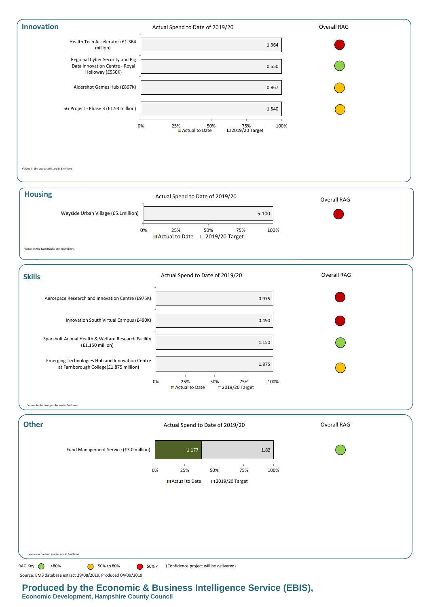





Values in the two graphs are in £millions



## **Produced by the Economic & Business Intelligence Service (EBIS), Economic Development, Hampshire County Council**